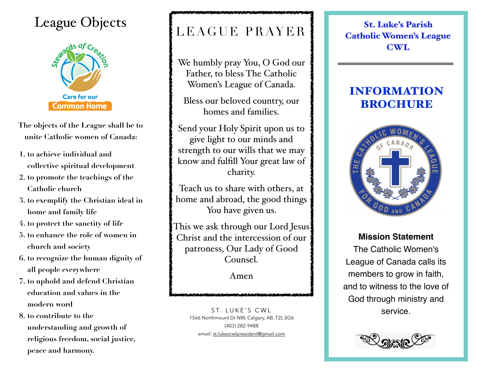## League Objects  $\left\{ \begin{array}{c} \mathbf{S} \end{array} \right\}$  St. Luke's Parish



**The objects of the League shall be to unite Catholic women of Canada:** 

- **1. to achieve individual and collective spiritual development**
- **2. to promote the teachings of the Catholic church**
- **3. to exemplify the Christian ideal in home and family life**
- **4. to protect the sanctity of life**
- **5. to enhance the role of women in church and society**
- **6. to recognize the human dignity of all people everywhere**
- **7. to uphold and defend Christian education and values in the modern word**
- **8. to contribute to the understanding and growth of religious freedom, social justice, peace and harmony.**

# LEAGUE PRAYER

We humbly pray You, O God our Father, to bless The Catholic Women's League of Canada.

Bless our beloved country, our homes and families.

Send your Holy Spirit upon us to give light to our minds and strength to our wills that we may know and fulfill Your great law of charity.

Teach us to share with others, at home and abroad, the good things You have given us.

This we ask through our Lord Jesus Christ and the intercession of our patroness, Our Lady of Good Counsel.

Amen

ST. LUKE'S CWL 1566 Northmount Dr NW, Calgary, AB, T2L 0G6 (403) 282-9488 email: [st.lukescwlpresident@gmail.com](mailto:st.lukescwlpresident@gmail.com)

Catholic Women's League CWL

### INFORMATION BROCHURE



**Mission Statement** The Catholic Women's League of Canada calls its members to grow in faith, and to witness to the love of God through ministry and service.